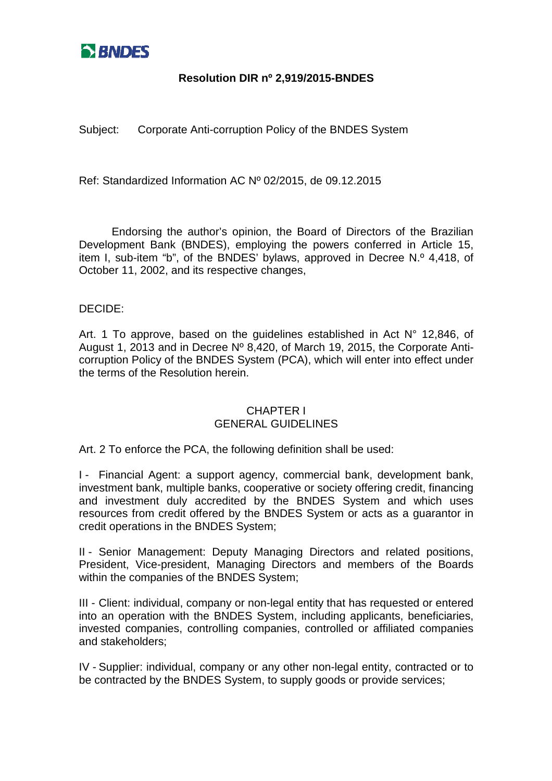

Subject: Corporate Anti-corruption Policy of the BNDES System

Ref: Standardized Information AC Nº 02/2015, de 09.12.2015

Endorsing the author's opinion, the Board of Directors of the Brazilian Development Bank (BNDES), employing the powers conferred in Article 15, item I. sub-item "b", of the BNDES' bylaws, approved in Decree N.º 4,418, of October 11, 2002, and its respective changes,

#### DECIDE:

Art. 1 To approve, based on the guidelines established in Act N° 12,846, of August 1, 2013 and in Decree Nº 8,420, of March 19, 2015, the Corporate Anticorruption Policy of the BNDES System (PCA), which will enter into effect under the terms of the Resolution herein.

#### CHAPTER I GENERAL GUIDELINES

Art. 2 To enforce the PCA, the following definition shall be used:

I - Financial Agent: a support agency, commercial bank, development bank, investment bank, multiple banks, cooperative or society offering credit, financing and investment duly accredited by the BNDES System and which uses resources from credit offered by the BNDES System or acts as a guarantor in credit operations in the BNDES System;

II - Senior Management: Deputy Managing Directors and related positions, President, Vice-president, Managing Directors and members of the Boards within the companies of the BNDES System;

III - Client: individual, company or non-legal entity that has requested or entered into an operation with the BNDES System, including applicants, beneficiaries, invested companies, controlling companies, controlled or affiliated companies and stakeholders;

IV - Supplier: individual, company or any other non-legal entity, contracted or to be contracted by the BNDES System, to supply goods or provide services;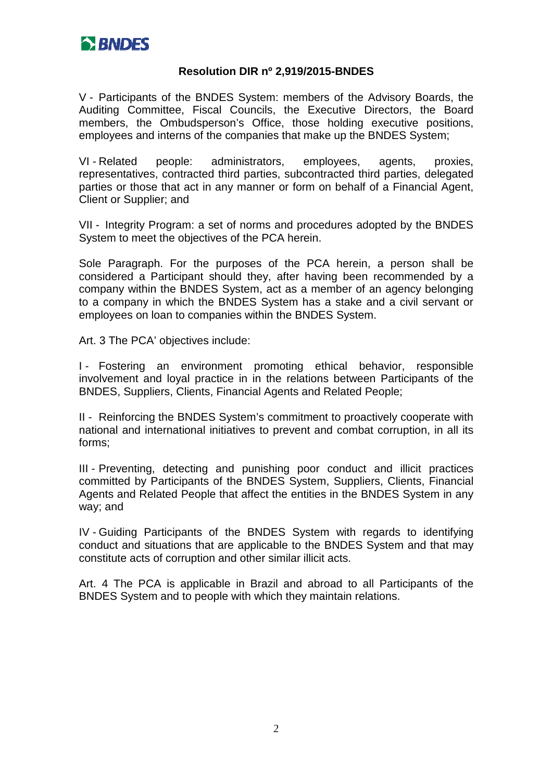

V - Participants of the BNDES System: members of the Advisory Boards, the Auditing Committee, Fiscal Councils, the Executive Directors, the Board members, the Ombudsperson's Office, those holding executive positions, employees and interns of the companies that make up the BNDES System;

VI - Related people: administrators, employees, agents, proxies, representatives, contracted third parties, subcontracted third parties, delegated parties or those that act in any manner or form on behalf of a Financial Agent, Client or Supplier; and

VII - Integrity Program: a set of norms and procedures adopted by the BNDES System to meet the objectives of the PCA herein.

Sole Paragraph. For the purposes of the PCA herein, a person shall be considered a Participant should they, after having been recommended by a company within the BNDES System, act as a member of an agency belonging to a company in which the BNDES System has a stake and a civil servant or employees on loan to companies within the BNDES System.

Art. 3 The PCA' objectives include:

I - Fostering an environment promoting ethical behavior, responsible involvement and loyal practice in in the relations between Participants of the BNDES, Suppliers, Clients, Financial Agents and Related People;

II - Reinforcing the BNDES System's commitment to proactively cooperate with national and international initiatives to prevent and combat corruption, in all its forms;

III - Preventing, detecting and punishing poor conduct and illicit practices committed by Participants of the BNDES System, Suppliers, Clients, Financial Agents and Related People that affect the entities in the BNDES System in any way; and

IV - Guiding Participants of the BNDES System with regards to identifying conduct and situations that are applicable to the BNDES System and that may constitute acts of corruption and other similar illicit acts.

Art. 4 The PCA is applicable in Brazil and abroad to all Participants of the BNDES System and to people with which they maintain relations.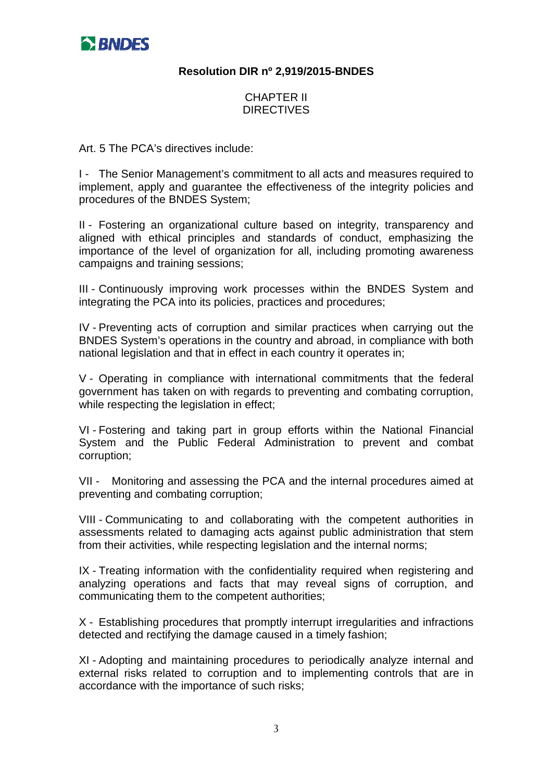

### CHAPTER II **DIRECTIVES**

Art. 5 The PCA's directives include:

I - The Senior Management's commitment to all acts and measures required to implement, apply and guarantee the effectiveness of the integrity policies and procedures of the BNDES System;

II - Fostering an organizational culture based on integrity, transparency and aligned with ethical principles and standards of conduct, emphasizing the importance of the level of organization for all, including promoting awareness campaigns and training sessions;

III - Continuously improving work processes within the BNDES System and integrating the PCA into its policies, practices and procedures;

IV - Preventing acts of corruption and similar practices when carrying out the BNDES System's operations in the country and abroad, in compliance with both national legislation and that in effect in each country it operates in;

V - Operating in compliance with international commitments that the federal government has taken on with regards to preventing and combating corruption, while respecting the legislation in effect;

VI - Fostering and taking part in group efforts within the National Financial System and the Public Federal Administration to prevent and combat corruption;

VII - Monitoring and assessing the PCA and the internal procedures aimed at preventing and combating corruption;

VIII - Communicating to and collaborating with the competent authorities in assessments related to damaging acts against public administration that stem from their activities, while respecting legislation and the internal norms;

IX - Treating information with the confidentiality required when registering and analyzing operations and facts that may reveal signs of corruption, and communicating them to the competent authorities;

X - Establishing procedures that promptly interrupt irregularities and infractions detected and rectifying the damage caused in a timely fashion;

XI - Adopting and maintaining procedures to periodically analyze internal and external risks related to corruption and to implementing controls that are in accordance with the importance of such risks;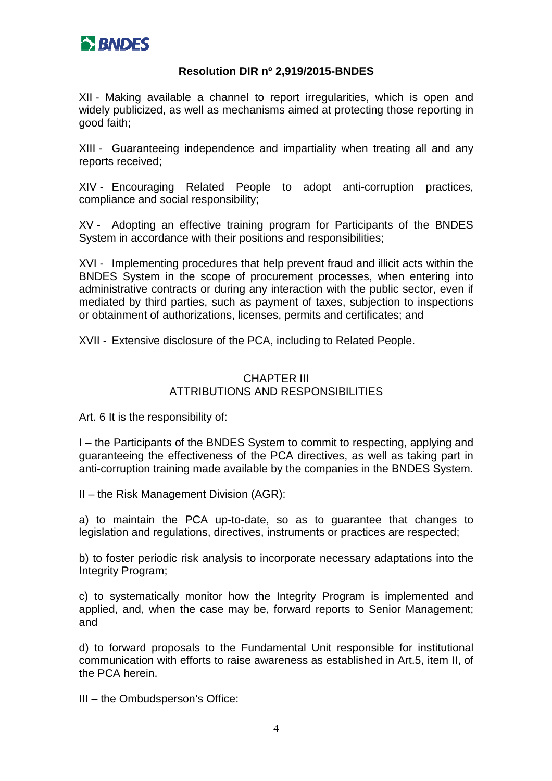

XII - Making available a channel to report irregularities, which is open and widely publicized, as well as mechanisms aimed at protecting those reporting in good faith;

XIII - Guaranteeing independence and impartiality when treating all and any reports received;

XIV - Encouraging Related People to adopt anti-corruption practices, compliance and social responsibility;

XV - Adopting an effective training program for Participants of the BNDES System in accordance with their positions and responsibilities;

XVI - Implementing procedures that help prevent fraud and illicit acts within the BNDES System in the scope of procurement processes, when entering into administrative contracts or during any interaction with the public sector, even if mediated by third parties, such as payment of taxes, subjection to inspections or obtainment of authorizations, licenses, permits and certificates; and

XVII - Extensive disclosure of the PCA, including to Related People.

### CHAPTER III ATTRIBUTIONS AND RESPONSIBILITIES

Art. 6 It is the responsibility of:

I – the Participants of the BNDES System to commit to respecting, applying and guaranteeing the effectiveness of the PCA directives, as well as taking part in anti-corruption training made available by the companies in the BNDES System.

II – the Risk Management Division (AGR):

a) to maintain the PCA up-to-date, so as to guarantee that changes to legislation and regulations, directives, instruments or practices are respected;

b) to foster periodic risk analysis to incorporate necessary adaptations into the Integrity Program;

c) to systematically monitor how the Integrity Program is implemented and applied, and, when the case may be, forward reports to Senior Management; and

d) to forward proposals to the Fundamental Unit responsible for institutional communication with efforts to raise awareness as established in Art.5, item II, of the PCA herein.

III – the Ombudsperson's Office: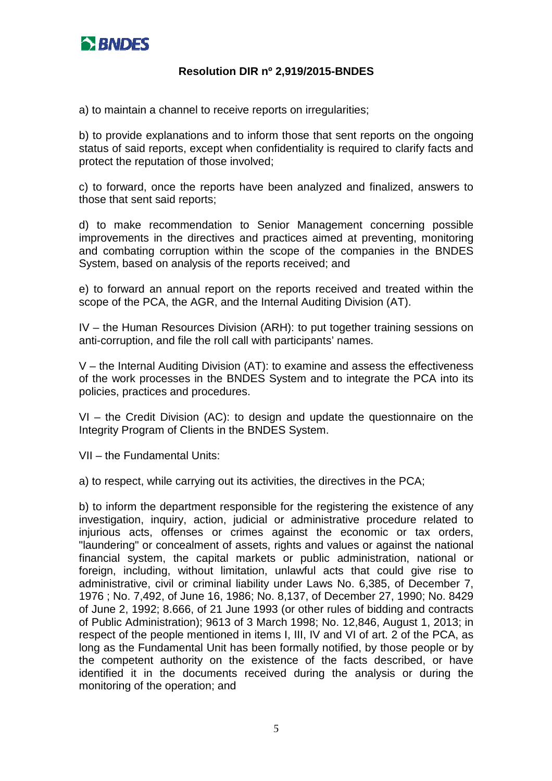

a) to maintain a channel to receive reports on irregularities;

b) to provide explanations and to inform those that sent reports on the ongoing status of said reports, except when confidentiality is required to clarify facts and protect the reputation of those involved;

c) to forward, once the reports have been analyzed and finalized, answers to those that sent said reports;

d) to make recommendation to Senior Management concerning possible improvements in the directives and practices aimed at preventing, monitoring and combating corruption within the scope of the companies in the BNDES System, based on analysis of the reports received; and

e) to forward an annual report on the reports received and treated within the scope of the PCA, the AGR, and the Internal Auditing Division (AT).

IV – the Human Resources Division (ARH): to put together training sessions on anti-corruption, and file the roll call with participants' names.

V – the Internal Auditing Division (AT): to examine and assess the effectiveness of the work processes in the BNDES System and to integrate the PCA into its policies, practices and procedures.

VI – the Credit Division (AC): to design and update the questionnaire on the Integrity Program of Clients in the BNDES System.

VII – the Fundamental Units:

a) to respect, while carrying out its activities, the directives in the PCA;

b) to inform the department responsible for the registering the existence of any investigation, inquiry, action, judicial or administrative procedure related to injurious acts, offenses or crimes against the economic or tax orders, "laundering" or concealment of assets, rights and values or against the national financial system, the capital markets or public administration, national or foreign, including, without limitation, unlawful acts that could give rise to administrative, civil or criminal liability under Laws No. 6,385, of December 7, 1976 ; No. 7,492, of June 16, 1986; No. 8,137, of December 27, 1990; No. 8429 of June 2, 1992; 8.666, of 21 June 1993 (or other rules of bidding and contracts of Public Administration); 9613 of 3 March 1998; No. 12,846, August 1, 2013; in respect of the people mentioned in items I, III, IV and VI of art. 2 of the PCA, as long as the Fundamental Unit has been formally notified, by those people or by the competent authority on the existence of the facts described, or have identified it in the documents received during the analysis or during the monitoring of the operation; and